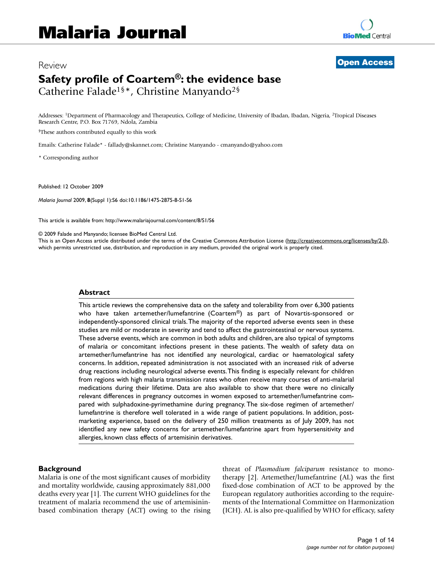

**Open Access**

# Review **Safety profile of Coartem®: the evidence base** Catherine Falade1§\*, Christine Manyando2§

Addresses: 1Department of Pharmacology and Therapeutics, College of Medicine, University of Ibadan, Ibadan, Nigeria, 2Tropical Diseases Research Centre, P.O. Box 71769, Ndola, Zambia

§These authors contributed equally to this work

Emails: Catherine Falade\* - fallady@skannet.com; Christine Manyando - cmanyando@yahoo.com

\* Corresponding author

Published: 12 October 2009

*Malaria Journal* 2009, **8**(Suppl 1):S6 doi:10.1186/1475-2875-8-S1-S6

This article is available from: http://www.malariajournal.com/content/8/S1/S6

© 2009 Falade and Manyando; licensee BioMed Central Ltd.

This is an Open Access article distributed under the terms of the Creative Commons Attribution License (http://creativecommons.org/licenses/by/2.0), which permits unrestricted use, distribution, and reproduction in any medium, provided the original work is properly cited.

### **Abstract**

This article reviews the comprehensive data on the safety and tolerability from over 6,300 patients who have taken artemether/lumefantrine (Coartem®) as part of Novartis-sponsored or independently-sponsored clinical trials.The majority of the reported adverse events seen in these studies are mild or moderate in severity and tend to affect the gastrointestinal or nervous systems. These adverse events, which are common in both adults and children, are also typical of symptoms of malaria or concomitant infections present in these patients. The wealth of safety data on artemether/lumefantrine has not identified any neurological, cardiac or haematological safety concerns. In addition, repeated administration is not associated with an increased risk of adverse drug reactions including neurological adverse events.This finding is especially relevant for children from regions with high malaria transmission rates who often receive many courses of anti-malarial medications during their lifetime. Data are also available to show that there were no clinically relevant differences in pregnancy outcomes in women exposed to artemether/lumefantrine compared with sulphadoxine-pyrimethamine during pregnancy. The six-dose regimen of artemether/ lumefantrine is therefore well tolerated in a wide range of patient populations. In addition, postmarketing experience, based on the delivery of 250 million treatments as of July 2009, has not identified any new safety concerns for artemether/lumefantrine apart from hypersensitivity and allergies, known class effects of artemisinin derivatives.

#### **Background**

Malaria is one of the most significant causes of morbidity and mortality worldwide, causing approximately 881,000 deaths every year [1]. The current WHO guidelines for the treatment of malaria recommend the use of artemisininbased combination therapy (ACT) owing to the rising threat of *Plasmodium falciparum* resistance to monotherapy [2]. Artemether/lumefantrine (AL) was the first fixed-dose combination of ACT to be approved by the European regulatory authorities according to the requirements of the International Committee on Harmonization (ICH). AL is also pre-qualified by WHO for efficacy, safety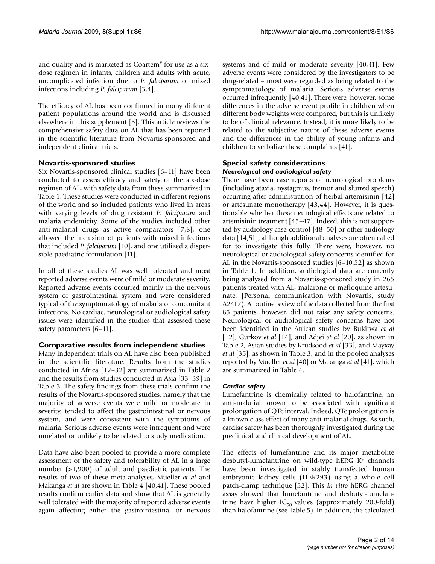and quality and is marketed as Coartem® for use as a sixdose regimen in infants, children and adults with acute, uncomplicated infection due to *P. falciparum* or mixed infections including *P. falciparum* [3,4].

The efficacy of AL has been confirmed in many different patient populations around the world and is discussed elsewhere in this supplement [5]. This article reviews the comprehensive safety data on AL that has been reported in the scientific literature from Novartis-sponsored and independent clinical trials.

# **Novartis-sponsored studies**

Six Novartis-sponsored clinical studies [6–11] have been conducted to assess efficacy and safety of the six-dose regimen of AL, with safety data from these summarized in Table 1. These studies were conducted in different regions of the world and so included patients who lived in areas with varying levels of drug resistant *P. falciparum* and malaria endemicity. Some of the studies included other anti-malarial drugs as active comparators [7,8], one allowed the inclusion of patients with mixed infections that included *P. falciparum* [10], and one utilized a dispersible paediatric formulation [11].

In all of these studies AL was well tolerated and most reported adverse events were of mild or moderate severity. Reported adverse events occurred mainly in the nervous system or gastrointestinal system and were considered typical of the symptomatology of malaria or concomitant infections. No cardiac, neurological or audiological safety issues were identified in the studies that assessed these safety parameters [6–11].

# **Comparative results from independent studies**

Many independent trials on AL have also been published in the scientific literature. Results from the studies conducted in Africa [12–32] are summarized in Table 2 and the results from studies conducted in Asia [33–39] in Table 3. The safety findings from these trials confirm the results of the Novartis-sponsored studies, namely that the majority of adverse events were mild or moderate in severity, tended to affect the gastrointestinal or nervous system, and were consistent with the symptoms of malaria. Serious adverse events were infrequent and were unrelated or unlikely to be related to study medication.

Data have also been pooled to provide a more complete assessment of the safety and tolerability of AL in a large number (>1,900) of adult and paediatric patients. The results of two of these meta-analyses, Mueller *et al* and Makanga *et al* are shown in Table 4 [40,41]. These pooled results confirm earlier data and show that AL is generally well tolerated with the majority of reported adverse events again affecting either the gastrointestinal or nervous systems and of mild or moderate severity [40,41]. Few adverse events were considered by the investigators to be drug-related – most were regarded as being related to the symptomatology of malaria. Serious adverse events occurred infrequently [40,41]. There were, however, some differences in the adverse event profile in children when different body weights were compared, but this is unlikely to be of clinical relevance. Instead, it is more likely to be related to the subjective nature of these adverse events and the differences in the ability of young infants and children to verbalize these complaints [41].

# **Special safety considerations** *Neurological and audiological safety*

There have been case reports of neurological problems (including ataxia, nystagmus, tremor and slurred speech) occurring after administration of herbal artemisinin [42] or artesunate monotherapy [43,44]. However, it is questionable whether these neurological effects are related to artemisinin treatment [45–47]. Indeed, this is not supported by audiology case-control [48–50] or other audiology data [14,51], although additional analyses are often called for to investigate this fully. There were, however, no neurological or audiological safety concerns identified for AL in the Novartis-sponsored studies [6–10,52] as shown in Table 1. In addition, audiological data are currently being analysed from a Novartis-sponsored study in 265 patients treated with AL, malarone or mefloquine-artesunate. [Personal communication with Novartis, study A2417). A routine review of the data collected from the first 85 patients, however, did not raise any safety concerns. Neurological or audiological safety concerns have not been identified in the African studies by Bukirwa *et al* [12], Gürkov *et al* [14], and Adjei *et al* [20], as shown in Table 2, Asian studies by Krudsood *et al* [33], and Mayxay *et al* [35], as shown in Table 3, and in the pooled analyses reported by Mueller *et al* [40] or Makanga *et al* [41], which are summarized in Table 4.

# *Cardiac safety*

Lumefantrine is chemically related to halofantrine, an anti-malarial known to be associated with significant prolongation of QTc interval. Indeed, QTc prolongation is a known class effect of many anti-malarial drugs. As such, cardiac safety has been thoroughly investigated during the preclinical and clinical development of AL.

The effects of lumefantrine and its major metabolite desbutyl-lumefantrine on wild-type hERG K+ channels have been investigated in stably transfected human embryonic kidney cells (HEK293) using a whole cell patch-clamp technique [52]. This *in vitro* hERG channel assay showed that lumefantrine and desbutyl-lumefantrine have higher  $IC_{50}$  values (approximately 200-fold) than halofantrine (see Table 5). In addition, the calculated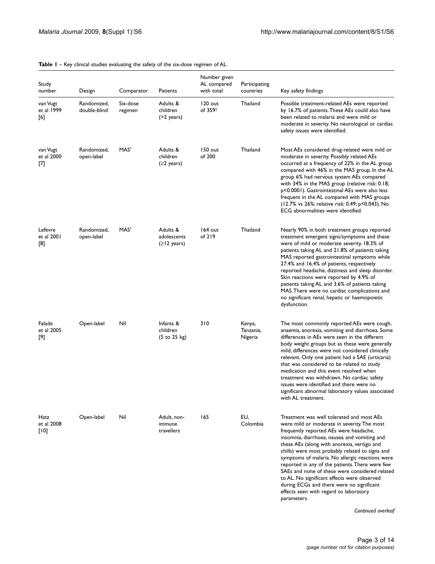| Study<br>number                    | Design                      | Comparator          | Patients                                                 | Number given<br>AL compared<br>with total | Participating<br>countries     | Key safety findings                                                                                                                                                                                                                                                                                                                                                                                                                                                                                                                                                                               |
|------------------------------------|-----------------------------|---------------------|----------------------------------------------------------|-------------------------------------------|--------------------------------|---------------------------------------------------------------------------------------------------------------------------------------------------------------------------------------------------------------------------------------------------------------------------------------------------------------------------------------------------------------------------------------------------------------------------------------------------------------------------------------------------------------------------------------------------------------------------------------------------|
| van Vugt<br>et al 1999<br>[6]      | Randomized,<br>double-blind | Six-dose<br>regimen | Adults &<br>children<br>$($ >2 years)                    | $120$ out<br>of 359 <sup>†</sup>          | Thailand                       | Possible treatment-related AEs were reported<br>by 16.7% of patients. These AEs could also have<br>been related to malaria and were mild or<br>moderate in severity. No neurological or cardiac<br>safety issues were identified.                                                                                                                                                                                                                                                                                                                                                                 |
| van Vugt<br>et al 2000<br>$^{[7]}$ | Randomized,<br>open-label   | $MAS^*$             | Adults &<br>children<br>(≥2 years)                       | $150$ out<br>of 200                       | Thailand                       | Most AEs considered drug-related were mild or<br>moderate in severity. Possibly related AEs<br>occurred at a frequency of 22% in the AL group<br>compared with 46% in the MAS group. In the AL<br>group 6% had nervous system AEs compared<br>with 34% in the MAS group (relative risk: 0.18;<br>p<0.0001). Gastrointestinal AEs were also less<br>frequent in the AL compared with MAS groups<br>(12.7% vs 26%; relative risk: 0.49; p<0.043). No<br>ECG abnormalities were identified.                                                                                                          |
| Lefèvre<br>et al 2001<br>$^{[8]}$  | Randomized,<br>open-label   | $MAS^*$             | Adults &<br>adolescents<br>$(\geq 12 \text{ years})$     | 164 out<br>of 219                         | Thailand                       | Nearly 90% in both treatment groups reported<br>treatment emergent signs/symptoms and these<br>were of mild or moderate severity. 18.3% of<br>patients taking AL and 21.8% of patients taking<br>MAS reported gastrointestinal symptoms while<br>27.4% and 16.4% of patients, respectively<br>reported headache, dizziness and sleep disorder.<br>Skin reactions were reported by 4.9% of<br>patients taking AL and 3.6% of patients taking<br>MAS. There were no cardiac complications and<br>no significant renal, hepatic or haemopoietic<br>dysfunction.                                      |
| Falade<br>et al 2005<br>[9]        | Open-label                  | Nil                 | Infants &<br>children<br>$(5 \text{ to } 25 \text{ kg})$ | 310                                       | Kenya,<br>Tanzania,<br>Nigeria | The most commonly reported AEs were cough,<br>anaemia, anorexia, vomiting and diarrhoea. Some<br>differences in AEs were seen in the different<br>body weight groups but as these were generally<br>mild, differences were not considered clinically<br>relevant. Only one patient had a SAE (urticaria)<br>that was considered to be related to study<br>medication and this event resolved when<br>treatment was withdrawn. No cardiac safety<br>issues were identified and there were no<br>significant abnormal laboratory values associated<br>with AL treatment.                            |
| Hatz<br>et al 2008<br>$[10]$       | Open-label                  | Nil                 | Adult, non-<br>immune<br>travellers                      | 165                                       | EU,<br>Colombia                | Treatment was well tolerated and most AEs<br>were mild or moderate in severity. The most<br>frequently reported AEs were headache,<br>insomnia, diarrhoea, nausea and vomiting and<br>these AEs (along with anorexia, vertigo and<br>chills) were most probably related to signs and<br>symptoms of malaria. No allergic reactions were<br>reported in any of the patients. There were few<br>SAEs and none of these were considered related<br>to AL. No significant effects were observed<br>during ECGs and there were no significant<br>effects seen with regard to laboratory<br>parameters. |

### **Table 1** – Key clinical studies evaluating the safety of the six-dose regimen of AL.

*Continued overleaf*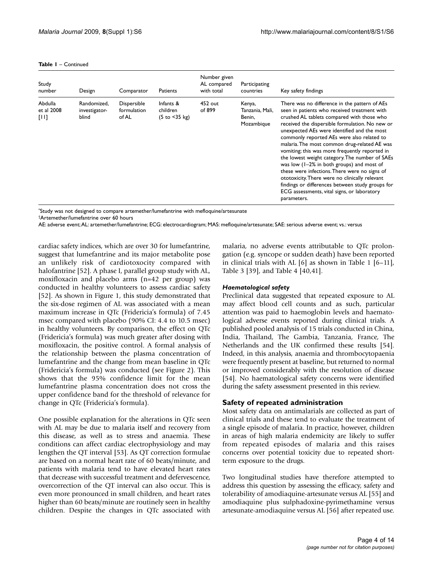#### **Table 1** – Continued

| Study<br>number               | Design                                | Comparator                          | Patients                                                 | Number given<br>AL compared<br>with total | Participating<br>countries                        | Key safety findings                                                                                                                                                                                                                                                                                                                                                                                                                                                                                                                                                                                                                                                                                               |
|-------------------------------|---------------------------------------|-------------------------------------|----------------------------------------------------------|-------------------------------------------|---------------------------------------------------|-------------------------------------------------------------------------------------------------------------------------------------------------------------------------------------------------------------------------------------------------------------------------------------------------------------------------------------------------------------------------------------------------------------------------------------------------------------------------------------------------------------------------------------------------------------------------------------------------------------------------------------------------------------------------------------------------------------------|
| Abdulla<br>et al 2008<br>[11] | Randomized.<br>investigator-<br>blind | Dispersible<br>formulation<br>of AL | Infants &<br>children<br>$(5 \text{ to } 35 \text{ kg})$ | 452 out<br>of 899                         | Kenya,<br>Tanzania, Mali,<br>Benin,<br>Mozambique | There was no difference in the pattern of AEs<br>seen in patients who received treatment with<br>crushed AL tablets compared with those who<br>received the dispersible formulation. No new or<br>unexpected AEs were identified and the most<br>commonly reported AEs were also related to<br>malaria. The most common drug-related AE was<br>vomiting; this was more frequently reported in<br>the lowest weight category. The number of SAEs<br>was low (1-2% in both groups) and most of<br>these were infections. There were no signs of<br>ototoxicity. There were no clinically relevant<br>findings or differences between study groups for<br>ECG assessments, vital signs, or laboratory<br>parameters. |

\* Study was not designed to compare artemether/lumefantrine with mefloquine/artesunate

†Artemether/lumefantrine over 60 hours

AE: adverse event;AL: artemether/lumefantrine; ECG: electrocardiogram; MAS: mefloquine/artesunate; SAE: serious adverse event; vs.: versus

cardiac safety indices, which are over 30 for lumefantrine, suggest that lumefantrine and its major metabolite pose an unlikely risk of cardiotoxocity compared with halofantrine [52]. A phase I, parallel group study with AL, moxifloxacin and placebo arms (n=42 per group) was conducted in healthy volunteers to assess cardiac safety [52]. As shown in Figure 1, this study demonstrated that the six-dose regimen of AL was associated with a mean maximum increase in QTc (Fridericia's formula) of 7.45 msec compared with placebo (90% CI: 4.4 to 10.5 msec) in healthy volunteers. By comparison, the effect on QTc (Fridericia's formula) was much greater after dosing with moxifloxacin, the positive control. A formal analysis of the relationship between the plasma concentration of lumefantrine and the change from mean baseline in QTc (Fridericia's formula) was conducted (see Figure 2). This shows that the 95% confidence limit for the mean lumefantrine plasma concentration does not cross the upper confidence band for the threshold of relevance for change in QTc (Fridericia's formula).

One possible explanation for the alterations in QTc seen with AL may be due to malaria itself and recovery from this disease, as well as to stress and anaemia. These conditions can affect cardiac electrophysiology and may lengthen the QT interval [53]. As QT correction formulae are based on a normal heart rate of 60 beats/minute, and patients with malaria tend to have elevated heart rates that decrease with successful treatment and defervescence, overcorrection of the QT interval can also occur. This is even more pronounced in small children, and heart rates higher than 60 beats/minute are routinely seen in healthy children. Despite the changes in QTc associated with malaria, no adverse events attributable to QTc prolongation (e.g. syncope or sudden death) have been reported in clinical trials with AL [6] as shown in Table 1 [6–11], Table 3 [39], and Table 4 [40,41].

### *Haematological safety*

Preclinical data suggested that repeated exposure to AL may affect blood cell counts and as such, particular attention was paid to haemoglobin levels and haematological adverse events reported during clinical trials. A published pooled analysis of 15 trials conducted in China, India, Thailand, The Gambia, Tanzania, France, The Netherlands and the UK confirmed these results [54]. Indeed, in this analysis, anaemia and thrombocytopaenia were frequently present at baseline, but returned to normal or improved considerably with the resolution of disease [54]. No haematological safety concerns were identified during the safety assessment presented in this review.

### **Safety of repeated administration**

Most safety data on antimalarials are collected as part of clinical trials and these tend to evaluate the treatment of a single episode of malaria. In practice, however, children in areas of high malaria endemicity are likely to suffer from repeated episodes of malaria and this raises concerns over potential toxicity due to repeated shortterm exposure to the drugs.

Two longitudinal studies have therefore attempted to address this question by assessing the efficacy, safety and tolerability of amodiaquine-artesunate versus AL [55] and amodiaquine plus sulphadoxine-pyrimethamine versus artesunate-amodiaquine versus AL [56] after repeated use.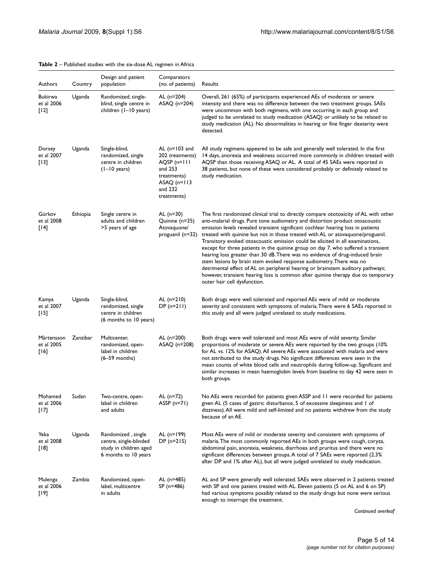### **Table 2** – Published studies with the six-dose AL regimen in Africa

| Authors                              | Country  | Design and patient<br>population                                                               | Comparators<br>(no. of patients)                                                                                       | Results                                                                                                                                                                                                                                                                                                                                                                                                                                                                                                                                                                                                                                                                                                                                                                                                                                                                       |
|--------------------------------------|----------|------------------------------------------------------------------------------------------------|------------------------------------------------------------------------------------------------------------------------|-------------------------------------------------------------------------------------------------------------------------------------------------------------------------------------------------------------------------------------------------------------------------------------------------------------------------------------------------------------------------------------------------------------------------------------------------------------------------------------------------------------------------------------------------------------------------------------------------------------------------------------------------------------------------------------------------------------------------------------------------------------------------------------------------------------------------------------------------------------------------------|
| <b>Bukirwa</b><br>et al 2006<br>[12] | Uganda   | Randomized, single-<br>blind, single centre in<br>children (1-10 years)                        | AL (n=204)<br>ASAQ (n=204)                                                                                             | Overall, 261 (65%) of participants experienced AEs of moderate or severe<br>intensity and there was no difference between the two treatment groups. SAEs<br>were uncommon with both regimens, with one occurring in each group and<br>judged to be unrelated to study medication (ASAQ) or unlikely to be related to<br>study medication (AL). No abnormalities in hearing or fine finger dexterity were<br>detected.                                                                                                                                                                                                                                                                                                                                                                                                                                                         |
| Dorsey<br>et al 2007<br>[13]         | Uganda   | Single-blind,<br>randomized, single<br>centre in children<br>$(1-10 \text{ years})$            | $AL$ (n=103 and<br>202 treatments)<br>$AQSP(n=111)$<br>and 253<br>treatments)<br>ASAQ (n=113<br>and 232<br>treatments) | All study regimens appeared to be safe and generally well tolerated. In the first<br>14 days, anorexia and weakness occurred more commonly in children treated with<br>AQSP than those receiving ASAQ or AL. A total of 45 SAEs were reported in<br>38 patients, but none of these were considered probably or definitely related to<br>study medication.                                                                                                                                                                                                                                                                                                                                                                                                                                                                                                                     |
| Gürkov<br>et al 2008<br>[14]         | Ethiopia | Single centre in<br>adults and children<br>>5 years of age                                     | AL (n=30)<br>Quinine (n=35)<br>Atovaquone/<br>proguanil (n=32)                                                         | The first randomized clinical trial to directly compare ototoxicity of AL with other<br>anti-malarial drugs. Pure tone audiometry and distortion product otoacoustic<br>emission levels revealed transient significant cochlear hearing loss in patients<br>treated with quinine but not in those treated with AL or atovaquone/proguanil.<br>Transitory evoked otoacoustic emission could be elicited in all examinations,<br>except for three patients in the quinine group on day 7, who suffered a transient<br>hearing loss greater than 30 dB. There was no evidence of drug-induced brain<br>stem lesions by brain stem evoked response audiometry. There was no<br>detrimental effect of AL on peripheral hearing or brainstem auditory pathways;<br>however, transient hearing loss is common after quinine therapy due to temporary<br>outer hair cell dysfunction. |
| Kamya<br>et al 2007<br>[15]          | Uganda   | Single-blind,<br>randomized, single<br>centre in children<br>(6 months to 10 years)            | $AL(n=210)$<br>$DP(n=211)$                                                                                             | Both drugs were well tolerated and reported AEs were of mild or moderate<br>severity and consistent with symptoms of malaria. There were 6 SAEs reported in<br>this study and all were judged unrelated to study medications.                                                                                                                                                                                                                                                                                                                                                                                                                                                                                                                                                                                                                                                 |
| Mårtensson<br>et al 2005<br>[16]     | Zanzibar | Multicenter,<br>randomized, open-<br>label in children<br>$(6-59$ months)                      | AL (n=200)<br>ASAQ (n=208)                                                                                             | Both drugs were well tolerated and most AEs were of mild severity. Similar<br>proportions of moderate or severe AEs were reported by the two groups (10%<br>for AL vs. 12% for ASAQ). All severe AEs were associated with malaria and were<br>not attributed to the study drugs. No significant differences were seen in the<br>mean counts of white blood cells and neutrophils during follow-up. Significant and<br>similar increases in mean haemoglobin levels from baseline to day 42 were seen in<br>both groups.                                                                                                                                                                                                                                                                                                                                                       |
| Mohamed<br>et al 2006<br>$[17]$      | Sudan    | Two-centre, open-<br>label in children<br>and adults                                           | AL (n=72)<br>ASSP $(n=71)$                                                                                             | No AEs were recorded for patients given ASSP and 11 were recorded for patients<br>given AL (5 cases of gastric disturbance, 5 of excessive sleepiness and 1 of<br>dizziness). All were mild and self-limited and no patients withdrew from the study<br>because of an AE.                                                                                                                                                                                                                                                                                                                                                                                                                                                                                                                                                                                                     |
| Yeka<br>et al 2008<br>[18]           | Uganda   | Randomized, single<br>centre, single-blinded<br>study in children aged<br>6 months to 10 years | AL (n=199)<br>$DP(n=215)$                                                                                              | Most AEs were of mild or moderate severity and consistent with symptoms of<br>malaria. The most commonly reported AEs in both groups were cough, coryza,<br>abdominal pain, anorexia, weakness, diarrhoea and pruritus and there were no<br>significant differences between groups. A total of 7 SAEs were reported (2.3%<br>after DP and 1% after AL), but all were judged unrelated to study medication.                                                                                                                                                                                                                                                                                                                                                                                                                                                                    |
| Mulenga<br>et al 2006<br>[19]        | Zambia   | Randomized, open-<br>label, multicentre<br>in adults                                           | AL (n=485)<br>SP (n=486)                                                                                               | AL and SP were generally well tolerated. SAEs were observed in 2 patients treated<br>with SP and one patient treated with AL. Eleven patients (5 on AL and 6 on SP)<br>had various symptoms possibly related to the study drugs but none were serious<br>enough to interrupt the treatment.                                                                                                                                                                                                                                                                                                                                                                                                                                                                                                                                                                                   |

*Continued overleaf*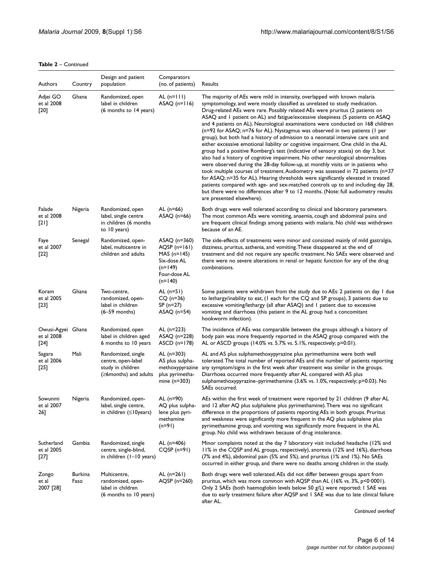# **Table 2** – Continued

| Authors                                   | Country         | Design and patient<br>population                                                       | Comparators<br>(no. of patients)                                                                        | Results                                                                                                                                                                                                                                                                                                                                                                                                                                                                                                                                                                                                                                                                                                                                                                                                                                                                                                                                                                                                                                                                                                                                                                                                                                                                                                          |
|-------------------------------------------|-----------------|----------------------------------------------------------------------------------------|---------------------------------------------------------------------------------------------------------|------------------------------------------------------------------------------------------------------------------------------------------------------------------------------------------------------------------------------------------------------------------------------------------------------------------------------------------------------------------------------------------------------------------------------------------------------------------------------------------------------------------------------------------------------------------------------------------------------------------------------------------------------------------------------------------------------------------------------------------------------------------------------------------------------------------------------------------------------------------------------------------------------------------------------------------------------------------------------------------------------------------------------------------------------------------------------------------------------------------------------------------------------------------------------------------------------------------------------------------------------------------------------------------------------------------|
| Adjei GO<br>et al 2008<br>[20]            | Ghana           | Randomized, open<br>label in children<br>(6 months to 14 years)                        | AL $(n=111)$<br>ASAQ $(n=116)$                                                                          | The majority of AEs were mild in intensity, overlapped with known malaria<br>symptomology, and were mostly classified as unrelated to study medication.<br>Drug-related AEs were rare. Possibly related AEs were pruritus (2 patients on<br>ASAQ and I patient on AL) and fatigue/excessive sleepiness (5 patients on ASAQ<br>and 4 patients on AL). Neurological examinations were conducted on 168 children<br>(n=92 for ASAQ; n=76 for AL). Nystagmus was observed in two patients (1 per<br>group), but both had a history of admission to a neonatal intensive care unit and<br>either excessive emotional liability or cognitive impairment. One child in the AL<br>group had a positive Romberg's test (indicative of sensory ataxia) on day 3, but<br>also had a history of cognitive impairment. No other neurological abnormalities<br>were observed during the 28-day follow-up, at monthly visits or in patients who<br>took multiple courses of treatment. Audiometry was assessed in 72 patients (n=37<br>for ASAQ; n=35 for AL). Hearing thresholds were significantly elevated in treated<br>patients compared with age- and sex-matched controls up to and including day 28,<br>but there were no differences after 9 to 12 months. (Note: full audiometry results<br>are presented elsewhere). |
| Falade<br>et al 2008<br>[2]               | Nigeria         | Randomized, open<br>label, single centre<br>in children (6 months<br>to 10 years)      | AL (n=66)<br>$ASAQ$ (n=66)                                                                              | Both drugs were well tolerated according to clinical and laboratory parameters.<br>The most common AEs were vomiting, anaemia, cough and abdominal pains and<br>are frequent clinical findings among patients with malaria. No child was withdrawn<br>because of an AE.                                                                                                                                                                                                                                                                                                                                                                                                                                                                                                                                                                                                                                                                                                                                                                                                                                                                                                                                                                                                                                          |
| Faye<br>et al 2007<br>$[22]$              | Senegal         | Randomized, open-<br>label, multicentre in<br>children and adults                      | ASAQ (n=360)<br>$AQSP(n=161)$<br>MAS $(n=145)$<br>Six-dose AL<br>$(n=149)$<br>Four-dose AL<br>$(n=140)$ | The side-effects of treatments were minor and consisted mainly of mild gastralgia,<br>dizziness, pruritus, asthenia, and vomiting. These disappeared at the end of<br>treatment and did not require any specific treatment. No SAEs were observed and<br>there were no severe alterations in renal or hepatic function for any of the drug<br>combinations.                                                                                                                                                                                                                                                                                                                                                                                                                                                                                                                                                                                                                                                                                                                                                                                                                                                                                                                                                      |
| Koram<br>et al 2005<br>[23]               | Ghana           | Two-centre,<br>randomized, open-<br>label in children<br>$(6-59$ months)               | AL $(n=51)$<br>$CQ$ (n=36)<br>$SP(n=27)$<br>$ASAQ$ (n=54)                                               | Some patients were withdrawn from the study due to AEs: 2 patients on day 1 due<br>to lethargy/inability to eat, (I each for the CQ and SP groups), 3 patients due to<br>excessive vomiting/lethargy (all after ASAQ) and I patient due to excessive<br>vomiting and diarrhoea (this patient in the AL group had a concomitant<br>hookworm infection).                                                                                                                                                                                                                                                                                                                                                                                                                                                                                                                                                                                                                                                                                                                                                                                                                                                                                                                                                           |
| Owusi-Agyei Ghana<br>et al 2008<br>$[24]$ |                 | Randomized, open<br>label in children aged<br>6 months to 10 years                     | AL $(n=223)$<br>ASAQ (n=228)<br>ASCD $(n=178)$                                                          | The incidence of AEs was comparable between the groups although a history of<br>body pain was more frequently reported in the ASAQ group compared with the<br>AL or ASCD groups (14.0% vs. 5.7% vs. 5.1%, respectively; p=0.01).                                                                                                                                                                                                                                                                                                                                                                                                                                                                                                                                                                                                                                                                                                                                                                                                                                                                                                                                                                                                                                                                                 |
| Sagara<br>et al 2006<br>$[25]$            | Mali            | Randomized, single<br>centre, open-label<br>study in children<br>(≥6months) and adults | AL $(n=303)$<br>AS plus sulpha-<br>methoxypyrazine<br>plus pyrimetha-<br>mine $(n=303)$                 | AL and AS plus sulphamethoxypyrazine plus pyrimethamine were both well<br>tolerated. The total number of reported AEs and the number of patients reporting<br>any symptom/signs in the first week after treatment was similar in the groups.<br>Diarrhoea occurred more frequently after AL compared with AS plus<br>sulphamethoxypyrazine-pyrimethamine (3.6% vs. 1.0%, respectively; p=0.03). No<br>SAEs occurred.                                                                                                                                                                                                                                                                                                                                                                                                                                                                                                                                                                                                                                                                                                                                                                                                                                                                                             |
| Sowunmi<br>et al 2007<br>26]              | Nigeria         | Randomized, open-<br>label, single centre,<br>in children (≤10years)                   | AL (n=90)<br>AQ plus sulpha-<br>lene plus pyri-<br>methamine<br>$(n=91)$                                | AEs within the first week of treatment were reported by 21 children (9 after AL<br>and 12 after AQ plus sulphalene plus pyrimethamine). There was no significant<br>difference in the proportions of patients reporting AEs in both groups. Pruritus<br>and weakness were significantly more frequent in the AQ plus sulphalene plus<br>pyrimethamine group, and vomiting was significantly more frequent in the AL<br>group. No child was withdrawn because of drug intolerance.                                                                                                                                                                                                                                                                                                                                                                                                                                                                                                                                                                                                                                                                                                                                                                                                                                |
| Sutherland<br>et al 2005<br>$[27]$        | Gambia          | Randomized, single<br>centre, single-blind,<br>in children (1-10 years)                | AL (n=406)<br>$CQSP(n=91)$                                                                              | Minor complaints noted at the day 7 laboratory visit included headache (12% and<br>11% in the CQSP and AL groups, respectively), anorexia (12% and 16%), diarrhoea<br>(7% and 4%), abdominal pain (5% and 5%), and pruritus (1% and 1%). No SAEs<br>occurred in either group, and there were no deaths among children in the study.                                                                                                                                                                                                                                                                                                                                                                                                                                                                                                                                                                                                                                                                                                                                                                                                                                                                                                                                                                              |
| Zongo<br>et al<br>2007 [28]               | Burkina<br>Faso | Multicentre,<br>randomized, open-<br>label in children<br>(6 months to 10 years)       | $AL(n=261)$<br>AQSP (n=260)                                                                             | Both drugs were well tolerated. AEs did not differ between groups apart from<br>pruritus, which was more common with AQSP than AL (16% vs. 3%, p<0.0001).<br>Only 2 SAEs (both haemoglobin levels below 50 g/L) were reported; I SAE was<br>due to early treatment failure after AQSP and I SAE was due to late clinical failure<br>after AL.                                                                                                                                                                                                                                                                                                                                                                                                                                                                                                                                                                                                                                                                                                                                                                                                                                                                                                                                                                    |

*Continued overleaf*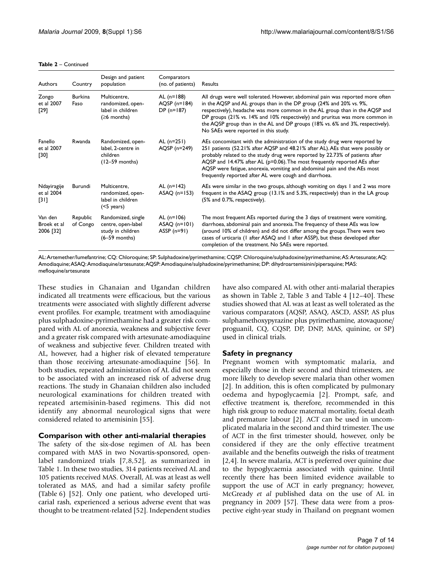#### **Table 2** – Continued

| Authors                             | Country                | Design and patient<br>population                                                 | Comparators<br>(no. of patients)               | Results                                                                                                                                                                                                                                                                                                                                                                                                                                                           |
|-------------------------------------|------------------------|----------------------------------------------------------------------------------|------------------------------------------------|-------------------------------------------------------------------------------------------------------------------------------------------------------------------------------------------------------------------------------------------------------------------------------------------------------------------------------------------------------------------------------------------------------------------------------------------------------------------|
| Zongo<br>et al 2007<br>$[29]$       | <b>Burkina</b><br>Faso | Multicentre.<br>randomized, open-<br>label in children<br>$(≥6$ months)          | AL $(n=188)$<br>AQSP $(n=184)$<br>$DP(n=187)$  | All drugs were well tolerated. However, abdominal pain was reported more often<br>in the AQSP and AL groups than in the DP group (24% and 20% vs. 9%,<br>respectively), headache was more common in the AL group than in the AQSP and<br>DP groups (21% vs. 14% and 10% respectively) and pruritus was more common in<br>the AQSP group than in the AL and DP groups (18% vs. 6% and 3%, respectively).<br>No SAEs were reported in this study.                   |
| Fanello<br>et al 2007<br>[30]       | Rwanda                 | Randomized, open-<br>label, 2-centre in<br>children<br>$(12-59$ months)          | AL $(n=251)$<br>AQSP (n=249)                   | AEs concomitant with the administration of the study drug were reported by<br>251 patients (52.21% after AQSP and 48.21% after AL). AEs that were possibly or<br>probably related to the study drug were reported by 22.73% of patients after<br>AQSP and 14.47% after AL (p=0.06). The most frequently reported AEs after<br>AQSP were fatigue, anorexia, vomiting and abdominal pain and the AEs most<br>frequently reported after AL were cough and diarrhoea. |
| Ndayiragije<br>et al 2004<br>[31]   | Burundi                | Multicentre.<br>randomized, open-<br>label in children<br>$(5$ years)            | AL $(n=142)$<br>$ASAQ$ (n=153)                 | AEs were similar in the two groups, although vomiting on days I and 2 was more<br>frequent in the ASAQ group (13.1% and 5.3%, respectively) than in the LA group<br>(5% and 0.7%, respectively).                                                                                                                                                                                                                                                                  |
| Van den<br>Broek et al<br>2006 [32] | Republic<br>of Congo   | Randomized, single<br>centre, open-label<br>study in children<br>$(6-59$ months) | AL $(n=106)$<br>$ASAQ$ (n=101)<br>$ASSP(n=91)$ | The most frequent AEs reported during the 3 days of treatment were vomiting,<br>diarrhoea, abdominal pain and anorexia. The frequency of these AEs was low<br>(around 10% of children) and did not differ among the groups. There were two<br>cases of urticaria (1 after ASAQ and 1 after ASSP), but these developed after<br>completion of the treatment. No SAEs were reported.                                                                                |

AL:Artemether/lumefantrine; CQ: Chloroquine; SP: Sulphadoxine/pyrimethamine; CQSP: Chloroquine/sulphadoxine/pyrimethamine;AS:Artesunate;AQ: Amodiaquine;ASAQ:Amodiaquine/artesunate;AQSP:Amodiaquine/sulphadoxine/pyrimethamine; DP: dihydroartemisinin/piperaquine; MAS: mefloquine/artesunate

These studies in Ghanaian and Ugandan children indicated all treatments were efficacious, but the various treatments were associated with slightly different adverse event profiles. For example, treatment with amodiaquine plus sulphadoxine-pyrimethamine had a greater risk compared with AL of anorexia, weakness and subjective fever and a greater risk compared with artesunate-amodiaquine of weakness and subjective fever. Children treated with AL, however, had a higher risk of elevated temperature than those receiving artesunate-amodiaquine [56]. In both studies, repeated administration of AL did not seem to be associated with an increased risk of adverse drug reactions. The study in Ghanaian children also included neurological examinations for children treated with repeated artemisinin-based regimens. This did not identify any abnormal neurological signs that were considered related to artemisinin [55].

# **Comparison with other anti-malarial therapies**

The safety of the six-dose regimen of AL has been compared with MAS in two Novartis-sponsored, openlabel randomized trials [7,8,52], as summarized in Table 1. In these two studies, 314 patients received AL and 105 patients received MAS. Overall, AL was at least as well tolerated as MAS, and had a similar safety profile (Table 6) [52]. Only one patient, who developed urticarial rash, experienced a serious adverse event that was thought to be treatment-related [52]. Independent studies have also compared AL with other anti-malarial therapies as shown in Table 2, Table 3 and Table 4 [12–40]. These studies showed that AL was at least as well tolerated as the various comparators (AQSP, ASAQ, ASCD, ASSP, AS plus sulphamethoxypyrazine plus pyrimethamine, atovaquone/ proguanil, CQ, CQSP, DP, DNP, MAS, quinine, or SP) used in clinical trials.

# **Safety in pregnancy**

Pregnant women with symptomatic malaria, and especially those in their second and third trimesters, are more likely to develop severe malaria than other women [2]. In addition, this is often complicated by pulmonary oedema and hypoglycaemia [2]. Prompt, safe, and effective treatment is, therefore, recommended in this high risk group to reduce maternal mortality, foetal death and premature labour [2]. ACT can be used in uncomplicated malaria in the second and third trimester. The use of ACT in the first trimester should, however, only be considered if they are the only effective treatment available and the benefits outweigh the risks of treatment [2,4]. In severe malaria, ACT is preferred over quinine due to the hypoglycaemia associated with quinine. Until recently there has been limited evidence available to support the use of ACT in early pregnancy; however, McGready *et al* published data on the use of AL in pregnancy in 2009 [57]. These data were from a prospective eight-year study in Thailand on pregnant women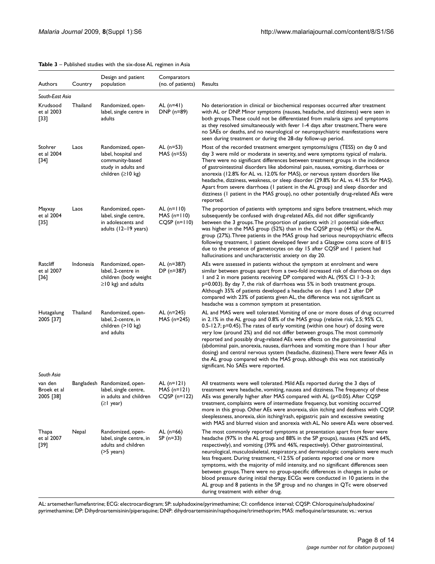#### **Table 3** – Published studies with the six-dose AL regimen in Asia

| Authors                             | Country   | Design and patient<br>population                                                                                      | Comparators<br>(no. of patients)               | Results                                                                                                                                                                                                                                                                                                                                                                                                                                                                                                                                                                                                                                                                                                                                                                                           |
|-------------------------------------|-----------|-----------------------------------------------------------------------------------------------------------------------|------------------------------------------------|---------------------------------------------------------------------------------------------------------------------------------------------------------------------------------------------------------------------------------------------------------------------------------------------------------------------------------------------------------------------------------------------------------------------------------------------------------------------------------------------------------------------------------------------------------------------------------------------------------------------------------------------------------------------------------------------------------------------------------------------------------------------------------------------------|
| South-East Asia                     |           |                                                                                                                       |                                                |                                                                                                                                                                                                                                                                                                                                                                                                                                                                                                                                                                                                                                                                                                                                                                                                   |
| Krudsood<br>et al 2003<br>[33]      | Thailand  | Randomized, open-<br>label, single centre in<br>adults                                                                | AL $(n=4)$<br>DNP (n=89)                       | No deterioration in clinical or biochemical responses occurred after treatment<br>with AL or DNP. Minor symptoms (nausea, headache, and dizziness) were seen in<br>both groups. These could not be differentiated from malaria signs and symptoms<br>as they resolved simultaneously with fever 1-4 days after treatment. There were<br>no SAEs or deaths, and no neurological or neuropsychiatric manifestations were<br>seen during treatment or during the 28-day follow-up period.                                                                                                                                                                                                                                                                                                            |
| Stohrer<br>et al 2004<br>[34]       | Laos      | Randomized, open-<br>label, hospital and<br>community-based<br>study in adults and<br>children $(\geq 10 \text{ kg})$ | $AL(n=53)$<br>MAS $(n=55)$                     | Most of the recorded treatment emergent symptoms/signs (TESS) on day 0 and<br>day 3 were mild or moderate in severity, and were symptoms typical of malaria.<br>There were no significant differences between treatment groups in the incidence<br>of gastrointestinal disorders like abdominal pain, nausea, vomiting, diarrhoea or<br>anorexia (12.8% for AL vs. 12.0% for MAS), or nervous system disorders like<br>headache, dizziness, weakness, or sleep disorder (29.8% for AL vs. 41.5% for MAS).<br>Apart from severe diarrhoea (I patient in the AL group) and sleep disorder and<br>dizziness (1 patient in the MAS group), no other potentially drug-related AEs were<br>reported.                                                                                                    |
| Mayxay<br>et al 2004<br>$[35]$      | Laos      | Randomized, open-<br>label, single centre,<br>in adolescents and<br>adults (12–19 years)                              | AL $(n=110)$<br>MAS $(n=110)$<br>$CQSP(n=110)$ | The proportion of patients with symptoms and signs before treatment, which may<br>subsequently be confused with drug-related AEs, did not differ significantly<br>between the 3 groups. The proportion of patients with $\geq 1$ potential side-effect<br>was higher in the MAS group (52%) than in the CQSP group (44%) or the AL<br>group (27%). Three patients in the MAS group had serious neuropsychiatric effects<br>following treatment, I patient developed fever and a Glasgow coma score of 8/15<br>due to the presence of gametocytes on day 15 after CQSP and 1 patient had<br>hallucinations and uncharacteristic anxiety on day 20.                                                                                                                                                 |
| Ratcliff<br>et al 2007<br>[36]      | Indonesia | Randomized, open-<br>label, 2-centre in<br>children (body weight<br>$\geq$ 10 kg) and adults                          | AL (n=387)<br>DP (n=387)                       | AEs were assessed in patients without the symptom at enrolment and were<br>similar between groups apart from a two-fold increased risk of diarrhoea on days<br>1 and 2 in more patients receiving DP compared with AL (95% CI $1.3-3.3$ ;<br>$p=0.003$ ). By day 7, the risk of diarrhoea was 5% in both treatment groups.<br>Although 35% of patients developed a headache on days I and 2 after DP<br>compared with 23% of patients given AL, the difference was not significant as<br>headache was a common symptom at presentation.                                                                                                                                                                                                                                                           |
| Hutagalung<br>2005 [37]             | Thailand  | Randomized, open-<br>label, 2-centre, in<br>children (>10 kg)<br>and adults                                           | AL (n=245)<br>MAS $(n=245)$                    | AL and MAS were well tolerated. Vomiting of one or more doses of drug occurred<br>in 2.1% in the AL group and 0.8% of the MAS group (relative risk, 2.5; 95% CI,<br>$0.5 - 12.7$ ; $p = 0.45$ ). The rates of early vomiting (within one hour) of dosing were<br>very low (around 2%) and did not differ between groups. The most commonly<br>reported and possibly drug-related AEs were effects on the gastrointestinal<br>(abdominal pain, anorexia, nausea, diarrhoea and vomiting more than I hour after<br>dosing) and central nervous system (headache, dizziness). There were fewer AEs in<br>the AL group compared with the MAS group, although this was not statistically<br>significant. No SAEs were reported.                                                                        |
| South Asia                          |           |                                                                                                                       |                                                |                                                                                                                                                                                                                                                                                                                                                                                                                                                                                                                                                                                                                                                                                                                                                                                                   |
| van den<br>Broek et al<br>2005 [38] |           | Bangladesh Randomized, open-<br>label, single centre,<br>in adults and children<br>$(\geq)$ year)                     | AL $(n=121)$<br>$MAS (n=121)$<br>$CQSP(n=122)$ | All treatments were well tolerated. Mild AEs reported during the 3 days of<br>treatment were headache, vomiting, nausea and dizziness. The frequency of these<br>AEs was generally higher after MAS compared with AL (p<0.05). After CQSP<br>treatment, complaints were of intermediate frequency, but vomiting occurred<br>more in this group. Other AEs were anorexia, skin itching and deafness with CQSP,<br>sleeplessness, anorexia, skin itching/rash, epigastric pain and excessive sweating<br>with MAS and blurred vision and anorexia with AL. No severe AEs were observed.                                                                                                                                                                                                             |
| Thapa<br>et al 2007<br>$[39]$       | Nepal     | Randomized, open-<br>label, single centre, in<br>adults and children<br>$($ >5 years)                                 | $AL(n=66)$<br>$SP(n=33)$                       | The most commonly reported symptoms at presentation apart from fever were<br>headache (97% in the AL group and 88% in the SP groups), nausea (42% and 64%,<br>respectively), and vomiting (39% and 46%, respectively). Other gastrointestinal,<br>neurological, musculoskeletal, respiratory, and dermatologic complaints were much<br>less frequent. During treatment, <12.5% of patients reported one or more<br>symptoms, with the majority of mild intensity, and no significant differences seen<br>between groups. There were no group-specific differences in changes in pulse or<br>blood pressure during initial therapy. ECGs were conducted in 10 patients in the<br>AL group and 8 patients in the SP group and no changes in QTc were observed<br>during treatment with either drug. |

AL: artemether/lumefantrine; ECG: electrocardiogram; SP: sulphadoxine/pyrimethamine; CI: confidence interval; CQSP: Chloroquine/sulphadoxine/ pyrimethamine; DP: Dihydroartemisinin/piperaquine; DNP: dihydroartemisinin/napthoquine/trimethoprim; MAS: mefloquine/artesunate; vs.: versus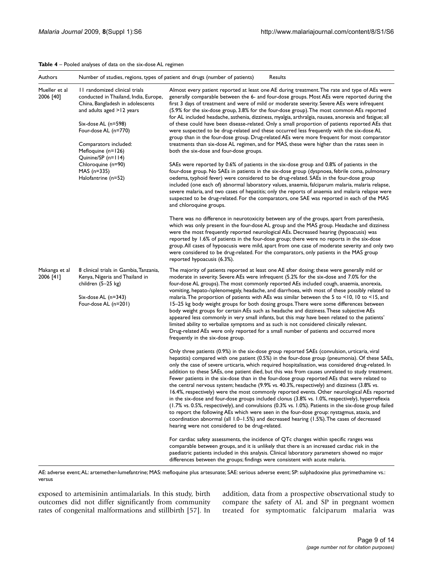#### **Table 4** – Pooled analyses of data on the six-dose AL regimen

| Authors                    |                                                                                                                                                                                                                                                               | Number of studies, regions, types of patient and drugs (number of patients)<br>Results                                                                                                                                                                                                                                                                                                                                                                                                                                                                                                                                                                                                                                                                                                                                                                                                                                                                                                                                                                                                                                                                              |
|----------------------------|---------------------------------------------------------------------------------------------------------------------------------------------------------------------------------------------------------------------------------------------------------------|---------------------------------------------------------------------------------------------------------------------------------------------------------------------------------------------------------------------------------------------------------------------------------------------------------------------------------------------------------------------------------------------------------------------------------------------------------------------------------------------------------------------------------------------------------------------------------------------------------------------------------------------------------------------------------------------------------------------------------------------------------------------------------------------------------------------------------------------------------------------------------------------------------------------------------------------------------------------------------------------------------------------------------------------------------------------------------------------------------------------------------------------------------------------|
| Mueller et al<br>2006 [40] | 11 randomized clinical trials<br>conducted in Thailand, India, Europe,<br>China, Bangladesh in adolescents<br>and adults aged $>12$ years<br>Six-dose AL (n=598)<br>Four-dose AL (n=770)<br>Comparators included:<br>Mefloquine (n=126)<br>Quinine/SP (n=114) | Almost every patient reported at least one AE during treatment. The rate and type of AEs were<br>generally comparable between the 6- and four-dose groups. Most AEs were reported during the<br>first 3 days of treatment and were of mild or moderate severity. Severe AEs were infrequent<br>(5.9% for the six-dose group, 3.8% for the four-dose group). The most common AEs reported<br>for AL included headache, asthenia, dizziness, myalgia, arthralgia, nausea, anorexia and fatigue; all<br>of these could have been disease-related. Only a small proportion of patients reported AEs that<br>were suspected to be drug-related and these occurred less frequently with the six-dose AL<br>group than in the four-dose group. Drug-related AEs were more frequent for most comparator<br>treatments than six-dose AL regimen, and for MAS, these were higher than the rates seen in<br>both the six-dose and four-dose groups.                                                                                                                                                                                                                            |
|                            | Chloroquine (n=90)<br>MAS (n=335)<br>Halofantrine (n=52)                                                                                                                                                                                                      | SAEs were reported by 0.6% of patients in the six-dose group and 0.8% of patients in the<br>four-dose group. No SAEs in patients in the six-dose group (dyspnoea, febrile coma, pulmonary<br>oedema, typhoid fever) were considered to be drug-related. SAEs in the four-dose group<br>included (one each of) abnormal laboratory values, anaemia, falciparum malaria, malaria relapse,<br>severe malaria, and two cases of hepatitis; only the reports of anaemia and malaria relapse were<br>suspected to be drug-related. For the comparators, one SAE was reported in each of the MAS<br>and chloroquine groups.                                                                                                                                                                                                                                                                                                                                                                                                                                                                                                                                                |
|                            |                                                                                                                                                                                                                                                               | There was no difference in neurotoxicity between any of the groups, apart from paresthesia,<br>which was only present in the four-dose AL group and the MAS group. Headache and dizziness<br>were the most frequently reported neurological AEs. Decreased hearing (hypoacusis) was<br>reported by 1.6% of patients in the four-dose group; there were no reports in the six-dose<br>group. All cases of hypoacusis were mild, apart from one case of moderate severity and only two<br>were considered to be drug-related. For the comparators, only patients in the MAS group<br>reported hypoacusis (6.3%).                                                                                                                                                                                                                                                                                                                                                                                                                                                                                                                                                      |
| Makanga et al<br>2006 [41] | 8 clinical trials in Gambia, Tanzania,<br>Kenya, Nigeria and Thailand in<br>children (5–25 kg)<br>$Six-dose AL (n=343)$<br>Four-dose AL (n=201)                                                                                                               | The majority of patients reported at least one AE after dosing; these were generally mild or<br>moderate in severity. Severe AEs were infrequent (5.2% for the six-dose and 7.0% for the<br>four-dose AL groups). The most commonly reported AEs included cough, anaemia, anorexia,<br>vomiting, hepato-/splenomegaly, headache, and diarrhoea, with most of these possibly related to<br>malaria. The proportion of patients with AEs was similar between the 5 to <10, 10 to <15, and<br>15-25 kg body weight groups for both dosing groups. There were some differences between<br>body weight groups for certain AEs such as headache and dizziness. These subjective AEs<br>appeared less commonly in very small infants, but this may have been related to the patients'<br>limited ability to verbalize symptoms and as such is not considered clinically relevant.<br>Drug-related AEs were only reported for a small number of patients and occurred more<br>frequently in the six-dose group.                                                                                                                                                             |
|                            |                                                                                                                                                                                                                                                               | Only three patients (0.9%) in the six-dose group reported SAEs (convulsion, urticaria, viral<br>hepatitis) compared with one patient (0.5%) in the four-dose group (pneumonia). Of these SAEs,<br>only the case of severe urticaria, which required hospitalisation, was considered drug-related. In<br>addition to these SAEs, one patient died, but this was from causes unrelated to study treatment.<br>Fewer patients in the six-dose than in the four-dose group reported AEs that were related to<br>the central nervous system; headache (9.9% vs. 40.3%, respectively) and dizziness (3.8% vs.<br>16.4%, respectively) were the most commonly reported events. Other neurological AEs reported<br>in the six-dose and four-dose groups included clonus (3.8% vs. 1.0%, respectively), hyperreflexia<br>(1.7% vs. 0.5%, respectively), and convulsions (0.3% vs. 1.0%). Patients in the six-dose group failed<br>to report the following AEs which were seen in the four-dose group: nystagmus, ataxia, and<br>coordination abnormal (all 1.0–1.5%) and decreased hearing (1.5%). The cases of decreased<br>hearing were not considered to be drug-related. |
|                            |                                                                                                                                                                                                                                                               | For cardiac safety assessments, the incidence of QTc changes within specific ranges was<br>comparable between groups, and it is unlikely that there is an increased cardiac risk in the<br>paediatric patients included in this analysis. Clinical laboratory parameters showed no major<br>differences between the groups; findings were consistent with acute malaria.                                                                                                                                                                                                                                                                                                                                                                                                                                                                                                                                                                                                                                                                                                                                                                                            |

AE: adverse event;AL: artemether-lumefantrine; MAS: mefloquine plus artesunate; SAE: serious adverse event; SP: sulphadoxine plus pyrimethamine vs.: versus

exposed to artemisinin antimalarials. In this study, birth outcomes did not differ significantly from community rates of congenital malformations and stillbirth [57]. In addition, data from a prospective observational study to compare the safety of AL and SP in pregnant women treated for symptomatic falciparum malaria was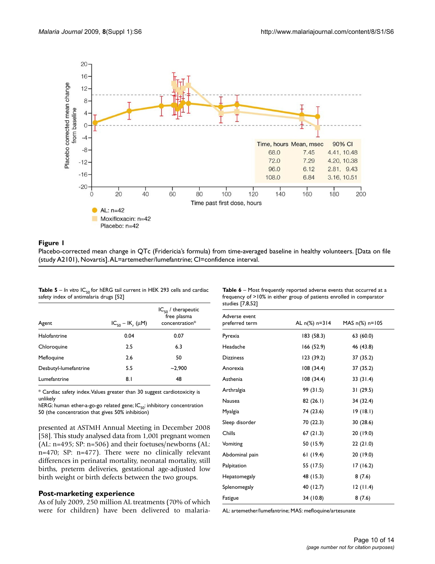

#### **Figure 1**

Placebo-corrected mean change in QTc (Fridericia's formula) from time-averaged baseline in healthy volunteers. [Data on file (study A2101), Novartis].AL=artemether/lumefantrine; CI=confidence interval.

**Table 5** – *In vitro*  $IC_{50}$  for hERG tail current in HEK 293 cells and cardiac safety index of antimalaria drugs [52]

| Agent                 | $IC_{50} - IK_{r} (\mu M)$ | $IC_{50}$ / therapeutic<br>free plasma<br>concentration* |
|-----------------------|----------------------------|----------------------------------------------------------|
| Halofantrine          | 0.04                       | 0.07                                                     |
| Chloroquine           | 2.5                        | 6.3                                                      |
| Mefloquine            | 2.6                        | 50                                                       |
| Desbutyl-lumefantrine | 5.5                        | $-2.900$                                                 |
| Lumefantrine          | 8.1                        | 48                                                       |

\* Cardiac safety index.Values greater than 30 suggest cardiotoxicity is unlikely

hERG: human ether-a-go-go related gene;  $IC_{50}$ : inhibitory concentration 50 (the concentration that gives 50% inhibition)

presented at ASTMH Annual Meeting in December 2008 [58]. This study analysed data from 1,001 pregnant women (AL: n=495; SP: n=506) and their foetuses/newborns (AL: n=470; SP: n=477). There were no clinically relevant differences in perinatal mortality, neonatal mortality, still births, preterm deliveries, gestational age-adjusted low birth weight or birth defects between the two groups.

### **Post-marketing experience**

As of July 2009, 250 million AL treatments (70% of which were for children) have been delivered to malaria**Table 6** – Most frequently reported adverse events that occurred at a frequency of >10% in either group of patients enrolled in comparator studies [7,8,52]

| Adverse event<br>preferred term | AL n(%) n=314 | MAS n(%) n=105 |
|---------------------------------|---------------|----------------|
| Pyrexia                         | 183 (58.3)    | 63 (60.0)      |
| Headache                        | 166 (52.9)    | 46 (43.8)      |
| <b>Dizziness</b>                | 123 (39.2)    | 37 (35.2)      |
| Anorexia                        | 108(34.4)     | 37 (35.2)      |
| Asthenia                        | 108(34.4)     | 33(31.4)       |
| Arthralgia                      | 99 (31.5)     | 31(29.5)       |
| <b>Nausea</b>                   | 82 (26.1)     | 34 (32.4)      |
| Myalgia                         | 74 (23.6)     | 19(18.1)       |
| Sleep disorder                  | 70 (22.3)     | 30(28.6)       |
| Chills                          | 67 (21.3)     | 20 (19.0)      |
| Vomiting                        | 50 (15.9)     | 22(21.0)       |
| Abdominal pain                  | 61 (19.4)     | 20 (19.0)      |
| Palpitation                     | 55 (17.5)     | 17(16.2)       |
| Hepatomegaly                    | 48 (15.3)     | 8(7.6)         |
| Splenomegaly                    | 40 (12.7)     | 12(11.4)       |
| Fatigue                         | 34 (10.8)     | 8(7.6)         |

AL: artemether/lumefantrine; MAS: mefloquine/artesunate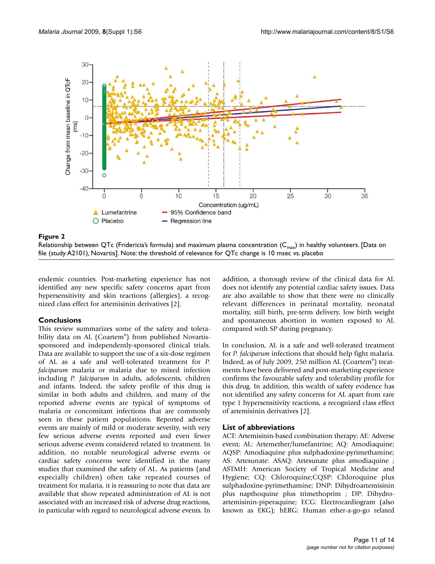

# **Figure 2**

Relationship between QTc (Fridericia's formula) and maximum plasma concentration ( $C_{max}$ ) in healthy volunteers. [Data on file (study A2101), Novartis]. Note: the threshold of relevance for QTc change is 10 msec vs. placebo

endemic countries. Post-marketing experience has not identified any new specific safety concerns apart from hypersensitivity and skin reactions (allergies), a recognized class effect for artemisinin derivatives [2].

# **Conclusions**

This review summarizes some of the safety and tolerability data on AL (Coartem®) from published Novartissponsored and independently-sponsored clinical trials. Data are available to support the use of a six-dose regimen of AL as a safe and well-tolerated treatment for *P. falciparum* malaria or malaria due to mixed infection including *P. falciparum* in adults, adolescents, children and infants. Indeed, the safety profile of this drug is similar in both adults and children, and many of the reported adverse events are typical of symptoms of malaria or concomitant infections that are commonly seen in these patient populations. Reported adverse events are mainly of mild or moderate severity, with very few serious adverse events reported and even fewer serious adverse events considered related to treatment. In addition, no notable neurological adverse events or cardiac safety concerns were identified in the many studies that examined the safety of AL. As patients (and especially children) often take repeated courses of treatment for malaria, it is reassuring to note that data are available that show repeated administration of AL is not associated with an increased risk of adverse drug reactions, in particular with regard to neurological adverse events. In addition, a thorough review of the clinical data for AL does not identify any potential cardiac safety issues. Data are also available to show that there were no clinically relevant differences in perinatal mortality, neonatal mortality, still birth, pre-term delivery, low birth weight and spontaneous abortion in women exposed to AL compared with SP during pregnancy.

In conclusion, AL is a safe and well-tolerated treatment for *P. falciparum* infections that should help fight malaria. Indeed, as of July 2009, 250 million AL (Coartem®) treatments have been delivered and post-marketing experience confirms the favourable safety and tolerability profile for this drug. In addition, this wealth of safety evidence has not identified any safety concerns for AL apart from rare type 1 hypersensitivity reactions, a recognized class effect of artemisinin derivatives [2].

# **List of abbreviations**

ACT: Artemisinin-based combination therapy; AE: Adverse event; AL: Artemether/lumefantrine; AQ: Amodiaquine; AQSP: Amodiaquine plus sulphadoxine-pyrimethamine; AS: Artesunate: ASAQ: Artesunate plus amodiaquine ; ASTMH: American Society of Tropical Medicine and Hygiene; CQ: Chloroquine;CQSP: Chloroquine plus sulphadoxine-pyrimethamine; DNP: Dihydroartemisinin plus napthoquine plus trimethoprim ; DP: Dihydroartemisinin-piperaquine; ECG: Electrocardiogram (also known as EKG); hERG: Human ether-a-go-go related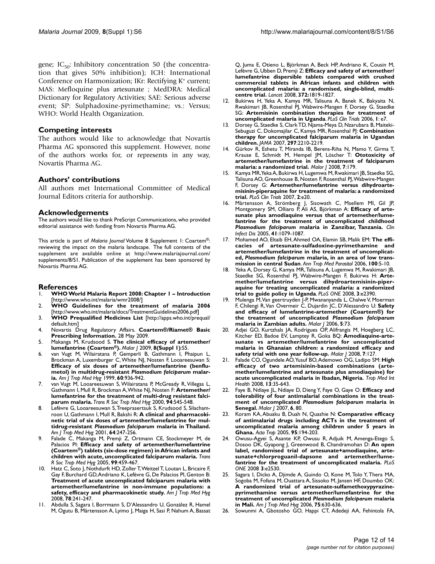gene; IC<sub>50</sub>: Inhibitory concentration 50 (the concentration that gives 50% inhibition); ICH: International Conference on Harmonization; IKr: Rectifying K+ current; MAS: Mefloquine plus artesunate ; MedDRA: Medical Dictionary for Regulatory Activities; SAE: Serious adverse event; SP: Sulphadoxine-pyrimethamine; vs.: Versus; WHO: World Health Organization.

#### **Competing interests**

The authors would like to acknowledge that Novartis Pharma AG sponsored this supplement. However, none of the authors works for, or represents in any way, Novartis Pharma AG.

#### **Authors' contributions**

All authors met International Committee of Medical Journal Editors criteria for authorship.

#### **Acknowledgements**

The authors would like to thank PreScript Communications, who provided editorial assistance with funding from Novartis Pharma AG.

This article is part of *Malaria Journal* Volume 8 Supplement 1: Coartem®: reviewing the impact on the malaria landscape. The full contents of the supplement are available online at http://www.malariajournal.com/ supplements/8/S1. Publication of the supplement has been sponsored by Novartis Pharma AG.

#### **References**

- 1. **WHO World Malaria Report 2008: Chapter 1 Introduction** [http://www.who.int/malaria/wmr2008/]
- 2. **WHO Guidelines for the treatment of malaria 2006** [http://www.who.int/malaria/docs/TreatmentGuidelines2006.pdf]
- 3. **WHO Prequalified Medicines List** [http://apps.who.int/prequal/ default.htm]
- 4. Novartis Drug Regulatory Affairs. **Coartem®/Riamet® Basic Prescribing Information.** 28 May 2009.
- 5. Makanga M, Krudsood S. **The clinical efficacy of artemether/ lumefantrine (Coartem®).** *Malar J* 2009, **8(Suppl 1)**:S5.
- 6. van Vugt M, Wilairatana P, Gemperli B, Gathmann I, Phaipun L, Brockman A, Luxemburger C,White NJ, Nosten F, Looareesuwan S: **Efficacy of six doses of artemether/lumefantrine (benflumetol) in multidrug-resistant** *Plasmodium falciparum* **malaria.** *Am J Trop Med Hyg* 1999, **60**:936-942.
- 7. van Vugt M, Looareesuwan S, Wilairatana P, McGready R, Villegas L, Gathmann I, Mull R, Brockman A,White NJ, Nosten F: **Artemether/ lumefantrine for the treatment of multi-drug resistant falciparum malaria.** *Trans R Soc Trop Med Hyg* 2000, **94**:545-548.
- 8. Lefèvre G, Looareesuwan S,Treeprasertsuk S, Krudsood S, Silachamroon U, Gathmann I, Mull R, Bakshi R: **A clinical and pharmacokinetic trial of six doses of artemether/lumefantrine for multidrug-resistant** *Plasmodium falciparum* **malaria in Thailand.** *Am J Trop Med Hyg* 2001, **64**:247-256.
- Falade C, Makanga M, Premji Z, Ortmann CE, Stockmeyer M, de Palacios PI: **Efficacy and safety of artemether/lumefantrine (Coartem®) tablets (six-dose regimen) in African infants and children with acute, uncomplicated falciparum malaria.** *Trans R Soc Trop Med Hyg* 2005, **99**:459-467.
- 10. Hatz C, Soto J, Nothdurft HD, Zoller T,Weitzel T, Loutan L, Bricaire F, Gay F, Burchard GD,Andriano K, Lefèvre G, De Palacios PI, Genton B: **Treatment of acute uncomplicated falciparum malaria with artemether/lumefantrine in non-immune populations: a safety, efficacy and pharmacokinetic study.** *Am J Trop Med Hyg* 2008, **78**:241-247.
- 11. Abdulla S, Sagara I, Borrmann S, D'Alessandro U, González R, Hamel M, Ogutu B, Mårtensson A, Lyimo J, Maiga H, Sasi P, Nahum A, Bassat

Q, Juma E, Otieno L, Björkman A, Beck HP, Andriano K, Cousin M, Lefèvre G, Ubben D, Premji Z: **Efficacy and safety of artemether/ lumefantrine dispersible tablets compared with crushed commercial tablets in African infants and children with uncomplicated malaria: a randomised, single-blind, multicentre trial.** *Lancet* 2008, **372:**1819-1827.

- 12. Bukirwa H, Yeka A, Kamya MR, Talisuna A, Banek K, Bakyaita N, Rwakimari JB, Rosenthal PJ, Wabwire-Mangen F, Dorsey G, Staedke SG: **Artemisinin combination therapies for treatment of uncomplicated malaria in Uganda**. *PLoS Clin Trials* 2006, **1**: e7.
- 13. Dorsey G, Staedke S, Clark TD, Njama-Meya D, Nzarubara B, Maiteki-Sebuguzi C, Dokomajilar C, Kamya MR, Rosenthal PJ: **Combination therapy for uncomplicated falciparum malaria in Ugandan children.** *JAMA* 2007, **297**:2210-2219.
- 14. Gürkov R, Eshetu T, Miranda IB, Berens-Riha N, Mamo Y, Girma T, Krause E, Schmidt M, Hempel JM, Löscher T: **Ototoxicity of artemether/lumefantrine in the treatment of falciparum malaria: a randomized trial.** *Malar J* 2008, **7**:179.
- 15. Kamya MR,Yeka A, Bukirwa H, Lugemwa M, Rwakimari JB, Staedke SG, Talisuna AO, Greenhouse B, Nosten F, Rosenthal PJ,Wabwire-Mangen F, Dorsey G: **Artemether/lumefantrine versus dihydroartemisinin-piperaquine for treatment of malaria: a randomized trial.** *PLoS Clin Trials* 2007, **2**:e20.
- 16. Mårtensson A, Strömberg J, Sisowath C, Msellem MI, Gil JP, Montgomery SM, Olliaro P, Ali AS, Björkman A: **Efficacy of artesunate plus amodiaquine versus that of artemether/lumefantrine for the treatment of uncomplicated childhood** *Plasmodium falciparum* **malaria in Zanzibar, Tanzania.** *Clin Infect Dis* 2005, **41**:1079-1087.
- 17. Mohamed AO, Eltaib EH,Ahmed OA, Elamin SB, Malik EM: **The efficacies of artesunate-sulfadoxine-pyrimethamine and artemether/lumefantrine in the treatment of uncomplicated,** *Plasmodium falciparum* **malaria, in an area of low transmission in central Sudan**. *Ann Trop Med Parasitol* 2006, **100**:5-10.
- 18. Yeka A, Dorsey G, Kamya MR,Talisuna A, Lugemwa M, Rwakimari JB, Staedke SG, Rosenthal PJ, Wabwire-Mangen F, Bukirwa H: **Artemether/lumefantrine versus dihydroartemisinin-piperaquine for treating uncomplicated malaria: a randomized trial to guide policy in Uganda**. *PLoS ONE* 2008, **3**:e2390.
- 19. Mulenga M,Van geertruyden J-P, Mwananyanda L, Chalwe V, Moerman F, Chilengi R,Van Overmeir C, Dujardin JC, D'Alessandro U: **Safety and efficacy of lumefantrine-artemether (Coartem®) for the treatment of uncomplicated** *Plasmodium falciparum* **malaria in Zambian adults.** *Malar J* 2006, **5**:73.
- 20. Adjei GO, Kurtzhals JA, Rodrigues OP, Alifrangis M, Hoegberg LC, Kitcher ED, Badoe EV, Lamptey R, Goka BQ: **Amodiaquine-artesunate vs artemether/lumefantrine for uncomplicated malaria in Ghanaian children: a randomized efficacy and safety trial with one year follow-up.** *Malar J* 2008, **7**:127.
- 21. Falade CO, Ogundele AO,Yusuf BO,Ademowo OG, Ladipo SM: **High efficacy of two artemisinin-based combinations (artemether/lumefantrine and artesunate plus amodiaquine) for acute uncomplicated malaria in Ibadan, Nigeria.** *Trop Med Int Health* 2008, **13**:35-643.
- 22. Faye B, Ndiaye JL, Ndiaye D, Dieng Y, Faye O, Gaye O: **Efficacy and tolerability of four antimalarial combinations in the treatment of uncomplicated** *Plasmodium falciparum* **malaria in Senegal.** *Malar J* 2007, **6**, 80.
- 23. Koram KA, Abuaku B, Duah N, Quashie N: **Comparative efficacy of antimalarial drugs including ACTs in the treatment of uncomplicated malaria among children under 5 years in Ghana.** *Acta Trop* 2005, **95**:194-203.
- 24. Owusu-Agyei S, Asante KP, Owusu R, Adjuik M, Amenga-Etego S, Dosoo DK, Gyapong J, Greenwood B, Chandramohan D: **An open label, randomised trial of artesunate+amodiaquine, artesunate+chlorproguanil-dapsone and artemether/lumefantrine for the treatment of uncomplicated malaria.** *PLoS ONE* 2008 **3**:e2530.
- 25. Sagara I, Dicko A, Djimde A, Guindo O, Kone M, Tolo Y, Thera MA, Sogoba M, Fofana M, Ouattara A, Sissoko M, Jansen HF, Doumbo OK: **A randomized trial of artesunate-sulfamethoxypyrazinepyrimethamine versus artemether/lumefantrine for the treatment of uncomplicated** *Plasmodium falciparum* **malaria in Mali.** *Am J Trop Med Hyg* 2006, **75**:630-636.
- 26. Sowunmi A, Gbotosho GO, Happi CT, Adedeji AA, Fehintola FA,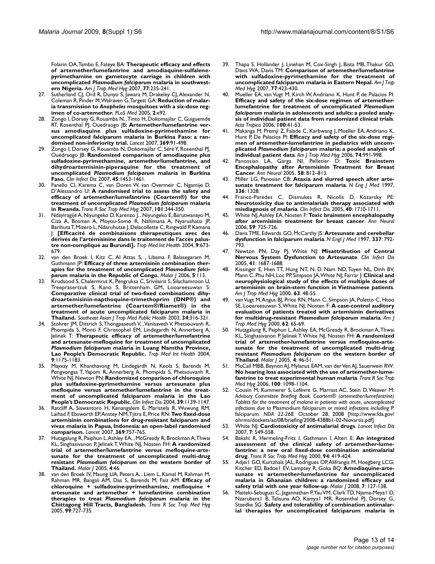Folarin OA,Tambo E, Fateye BA: **Therapeutic efficacy and effects of artemether/lumefantrine and amodiaquine-sulfalenepyrimethamine on gametocyte carriage in children with uncomplicated** *Plasmodium falciparum* **malaria in southwestern Nigeria.** *Am J Trop Med Hyg* 2007, **77**:235-241.

- 27. Sutherland CJ, Ord R, Dunyo S, Jawara M, Drakeley CJ,Alexander N, Coleman R, Pinder M,Walraven G,Targett GA:**Reduction of malaria transmission to** *Anopheles* **mosquitoes with a six-dose regimen of co-artemether.** *PLoS Med* 2005, **2**:e92.
- 28. Zongo I, Dorsey G, Rouamba N, ,Tinto H, Dokomajilar C, Guiguemde RT, Rosenthal PJ, Ouedraogo JB: **Artemether/lumefantrine versus amodiaquine plus sulfadoxine-pyrimethamine for uncomplicated falciparum malaria in Burkina Faso: a randomised non-inferiority trial.** *Lancet* 2007, **369**:91-498.
- 29. Zongo I, Dorsey G, Rouamba N, Dokomajilar C, Séré Y, Rosenthal PJ, Ouédraogo JB: **Randomized comparison of amodiaquine plus sulfadoxine-pyrimethamine, artemether/lumefantrine, and dihydroartemisinin-piperaquine for the treatment of uncomplicated** *Plasmodium falciparum* **malaria in Burkina Faso.** *Clin Infect Dis* 2007, **45**:1453-1461.
- 30. Fanello CI, Karema C, van Doren W, van Overmeir C, Ngamije D, D'Alessandro U: **A randomised trial to assess the safety and efficacy of artemether/lumefantrine (Coartem®) for the treatment of uncomplicated** *Plasmodium falciparum* **malaria in Rwanda.** *Trans R Soc Trop Med Hyg* 2007, **101**:344-350.
- 31. Ndayiragije A, Niyungeko D, Karenzo J, , Niyungeko E, Barutwanayo M, Ciza A, Bosman A, Moyou-Somo R, Nahimana A, Nyarushatsi JP, Barihuta T, Mizero L, Ndaruhutse J, Delacollette C, Ringwald P, Kamana J: **[Efficacité de combinaisons thérapeutiques avec des dérivés de l'artémisinine dans le traitement de l'accès palustre non-compliqué au Burundi].** *Trop Med Int Health* 2004, **9**:673- 679.
- 32. van den Broek I, Kitz C, Al Attas S, , Libama F, Balasegaram M, Guthmann JP: **Efficacy of three artemisinin combination therapies for the treatment of uncomplicated** *Plasmodium falciparum* **malaria in the Republic of Congo.** *Malar J* 2006, **5**:113.
- 33. Krudsood S, Chalermrut K, Pengruksa C, Srivilairit S, Silachamroon U, Treeprasertsuk S, Kano S, Brittenham GM, Looareesuwan S: **Comparative clinical trial of two-fixed combinations dihydroartemisinin-napthoquine-trimethoprim (DNP®) and artemether/lumefantrine (Coartem®/Riamet®) in the treatment of acute uncomplicated falciparum malaria in Thailand.** *Southeast Asian J Trop Med Public Health* 2003, **34**:316-321.
- 34. Stohrer JM, Dittrich S,Thongpaseuth V, ,Vanisaveth V, Phetsouvanh R, Phompida S, Monti F, Christophel EM, Lindegardh N, Annerberg A, Jelinek T: **Therapeutic efficacy of artemether/lumefantrine and artesunate-mefloquine for treatment of uncomplicated** *Plasmodium falciparum* **malaria in Luang Namtha Province, Lao People's Democratic Republic.** *Trop Med Int Health* 2004, **9**:1175-1183.
- 35. Mayxay M, Khanthavong M, Lindegårdh N, Keola S, Barends M, Pongvongsa T, Yapom R, Annerberg A, Phompida S, Phetsouvanh R, White NJ, Newton PN:**Randomized comparison of chloroquine plus sulfadoxine-pyrimethamine versus artesunate plus mefloquine versus artemether/lumefantrine in the treatment of uncomplicated falciparum malaria in the Lao People's Democratic Republic.** *Clin Infect Dis* 2004, **39**:1139-1147.
- 36. Ratcliff A, Siswantoro H, Kenangalem E, Maristela R, Wuwung RM, Laihad F, Ebsworth EP,Anstey NM,Tjitra E, Price RN: **Two fixed-dose artemisinin combinations for drug-resistant falciparum and vivax malaria in Papua, Indonesia: an open-label randomised comparison.** *Lancet* 2007, **369**:757-765.
- 37. Hutagalung R, Paiphun L,Ashley EA, , McGready R, Brockman A,Thwai KL, Singhasivanon P, Jelinek T,White NJ, Nosten FH: **A randomized trial of artemether/lumefantrine versus mefloquine-artesunate for the treatment of uncomplicated multi-drug resistant** *Plasmodium falciparum* **on the western border of Thailand.** *Malar J* 2005, **4**:46.
- 38. van den Broek IV, Maung UA, Peters A, , Liem L, Kamal M, Rahman M, Rahman MR, Bangali AM, Das S, Barends M, Faiz AM: **Efficacy of chloroquine + sulfadoxine-pyrimethamine, mefloquine + artesunate and artemether + lumefantrine combination therapies to treat** *Plasmodium falciparum* **malaria in the Chittagong Hill Tracts, Bangladesh.** *Trans R Soc Trop Med Hyg* 2005, **99**:727-735.
- 39. Thapa S, Hollander J, Linehan M, Cox-Singh J, Bista MB, Thakur GD, Davis WA, Davis TM: **Comparison of artemether/lumefantrine with sulfadoxine-pyrimethamine for the treatment of uncomplicated falciparum malaria in Eastern Nepal.** *Am J Trop Med Hyg* 2007, **77**:423-430.
- 40. Mueller EA, van Vugt M, Kirch W, Andriano K, Hunt P, de Palacios PI: **Efficacy and safety of the six-dose regimen of artemetherlumefantrine for treatment of uncomplicated** *Plasmodium falciparum* **malaria in adolescents and adults: a pooled analysis of individual patient data from randomized clinical trials**. *Acta Tropica* 2006, **100**:41-53.
- 41. Makanga M, Premji Z, Falade C, Karbwang J, Mueller EA, Andriano K, Hunt P, De Palacios PI: **Efficacy and safety of the six-dose regimen of artemether-lumefantrine in pediatrics with uncomplicated** *Plasmodium falciparum* **malaria: a pooled analysis of individual patient data**. *Am J Trop Med Hyg* 2006, **74**:991-998.
- 42. Panossian LA, Garga NI, Pelletier D: **Toxic Brainstem Encephalopathy after Artemisinin Treatment for Breast Cancer**. *Ann Neurol* 2005, **58**: 812–813.
- 43. Miller LG, Panosian CB: **Ataxia and slurred speech after artesunate treatment for falciparum malaria**. *N Eng J Med* 1997, **336**: 1328.
- 44. Franco-Paredes C, Dismukes R, Nicolls D, Kozarsky PE: **Neurotoxicity due to antimalarials therapy associated with misdiagnosis of malaria**. *Clin Infect Dis* 2005, **40**: 1710-1711.
- 45. White NJ,Ashley EA, Nosten F: **Toxic brainstem encephalopathy after artemisinin treatment for breast cancer**. *Ann Neurol* 2006, **59**: 725-726.
- 46. Davis TME, Edwards GO, McCarthy JS: **Artesunate and cerebellar dysfunction in falciparum malaria**. *N Engl J Med* 1997, **337**: 792- 793.
- 47. Newton PN, Day PJ, White NJ: **Misattribution of Central Nervous System Dysfunction to Artesunate**. *Clin Infect Dis* 2005, **41**: 1687-1688.
- 48. Kissinger E, Hien TT, Hung NT, N. D. Nam ND, Tuyen NL, Dinh BV, Mann C, Phu NH, Loc PP, Simpson JA,White NJ, Farrar J:**Clinical and neurophysiological study of the effects of multiple doses of artemisinin on brain-stem function in Vietnamese patients**. *Am J Trop Med Hyg* 2000, **63**: 48-55.
- 49. van Vugt M,Angus BJ, Price RN, Mann C, Simpson JA, Poletto C, Htoo SE, Looareesuwan S,White NJ, Nosten F: **A case-control auditory evaluation of patients treated with artemisinin derivatives for multidrug-resistant** *Plasmodium falciparum* **malaria**. *Am J Trop Med Hyg* 2000, **62**: 65-69.
- 50. Hutagalung R, Paiphun L, Ashley EA, McGready R, Brockman A, Thwai KL, Singhasivanon P, Jelinek T,White NJ, Nosten FH: **A randomized trial of artemether-lumefantrine versus mefloquine-artesunate for the treatment of uncomplicated multi-drug resistant** *Plasmodium falciparum* **on the western border of Thailand**. *Malar J* 2005, **4**: 46-51.
- 51. McCall MBB, Beynon AJ, Mylanus EAM, van der Ven AJ, Sauerwein RW: **No hearing loss associated with the use of artemether-lumefantrine to treat experimental human malaria**. *Trans R Soc Trop Med Hyg* 2006, **100**: 1098-1104.
- 52. Cousin M, Kummerer S, Lefèvre G, Marrast AC, Stein D, Weaver M: *Advisory Committee Briefing Book. Coartem® (artemether/lumefantrine) Tablets for the treatment of malaria in patients with acute, uncomplicated infections due to* Plasmodium falciparum *or mixed infections including* P. falciparum*. NDA 22-268.* October 28, 2008 [http://www.fda.gov/ ohrms/dockets/ac/08/briefing/2008-4388b1-02-Novartis.pdf]
- 53. White NJ: **Cardiotoxicity of antimalarial drugs**. *Lancet Infect Dis* 2007, **7**: 549-558.
- 54. Bakshi R, Hermeling-Fritz I, Gathmann I, Alteri E: **An integrated assessment of the clinical safety of artemether-lumefantrine: a new oral fixed-dose combination antimalarial drug**. *Trans R Soc Trop Med Hyg* 2000, **94**: 419-424.
- 55. Adjei1 GO, Kurtzhals JAL, Rodrigues OP,Alifrangis M, Hoegberg LCG, Kitcher ED, Badoe1 EV, Lamptey R, Goka BQ: **Amodiaquine-artesunate vs artemether-lumefantrine for uncomplicated malaria in Ghanaian children: a randomized efficacy and safety trial with one year follow-up**. *Malar J* 2008, **7**: 127-138.
- 56. Maiteki-Sebuguzi C, Jagannathan P,Yau VM, Clark TD, Njama-Meya1 D, Nzarubara1 B, Talisuna AO, Kamya1 MR, Rosenthal PJ, Dorsey G, Staedke SG: **Safety and tolerability of combination antimalarial therapies for uncomplicated falciparum malaria in**